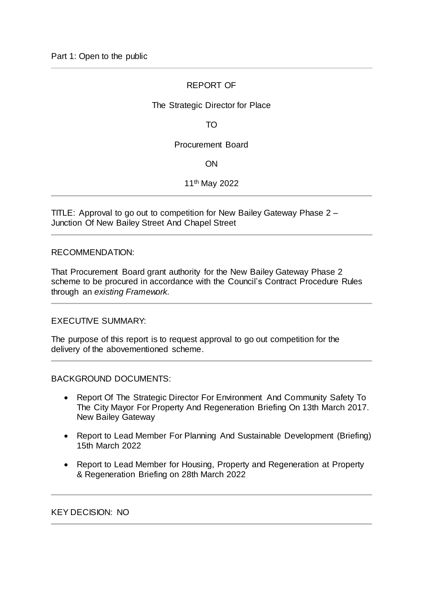# REPORT OF

# The Strategic Director for Place

TO

### Procurement Board

ON

11th May 2022

TITLE: Approval to go out to competition for New Bailey Gateway Phase 2 – Junction Of New Bailey Street And Chapel Street

#### RECOMMENDATION:

That Procurement Board grant authority for the New Bailey Gateway Phase 2 scheme to be procured in accordance with the Council's Contract Procedure Rules through an *existing Framework.*

EXECUTIVE SUMMARY:

The purpose of this report is to request approval to go out competition for the delivery of the abovementioned scheme.

BACKGROUND DOCUMENTS:

- Report Of The Strategic Director For Environment And Community Safety To The City Mayor For Property And Regeneration Briefing On 13th March 2017. New Bailey Gateway
- Report to Lead Member For Planning And Sustainable Development (Briefing) 15th March 2022
- Report to Lead Member for Housing, Property and Regeneration at Property & Regeneration Briefing on 28th March 2022

KEY DECISION: NO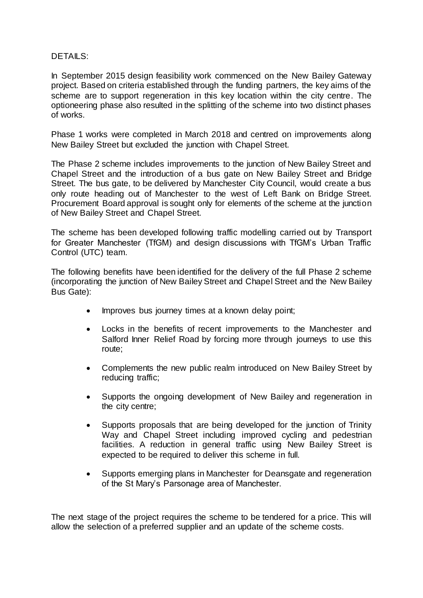### DETAILS:

In September 2015 design feasibility work commenced on the New Bailey Gateway project. Based on criteria established through the funding partners, the key aims of the scheme are to support regeneration in this key location within the city centre. The optioneering phase also resulted in the splitting of the scheme into two distinct phases of works.

Phase 1 works were completed in March 2018 and centred on improvements along New Bailey Street but excluded the junction with Chapel Street.

The Phase 2 scheme includes improvements to the junction of New Bailey Street and Chapel Street and the introduction of a bus gate on New Bailey Street and Bridge Street. The bus gate, to be delivered by Manchester City Council, would create a bus only route heading out of Manchester to the west of Left Bank on Bridge Street. Procurement Board approval is sought only for elements of the scheme at the junction of New Bailey Street and Chapel Street.

The scheme has been developed following traffic modelling carried out by Transport for Greater Manchester (TfGM) and design discussions with TfGM's Urban Traffic Control (UTC) team.

The following benefits have been identified for the delivery of the full Phase 2 scheme (incorporating the junction of New Bailey Street and Chapel Street and the New Bailey Bus Gate):

- Improves bus journey times at a known delay point;
- Locks in the benefits of recent improvements to the Manchester and Salford Inner Relief Road by forcing more through journeys to use this route;
- Complements the new public realm introduced on New Bailey Street by reducing traffic;
- Supports the ongoing development of New Bailey and regeneration in the city centre;
- Supports proposals that are being developed for the junction of Trinity Way and Chapel Street including improved cycling and pedestrian facilities. A reduction in general traffic using New Bailey Street is expected to be required to deliver this scheme in full.
- Supports emerging plans in Manchester for Deansgate and regeneration of the St Mary's Parsonage area of Manchester.

The next stage of the project requires the scheme to be tendered for a price. This will allow the selection of a preferred supplier and an update of the scheme costs.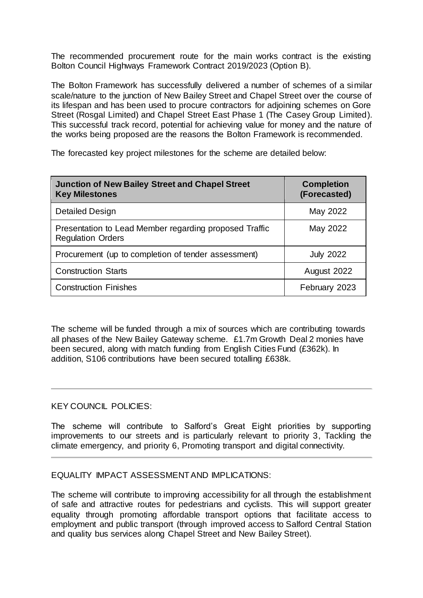The recommended procurement route for the main works contract is the existing Bolton Council Highways Framework Contract 2019/2023 (Option B).

The Bolton Framework has successfully delivered a number of schemes of a similar scale/nature to the junction of New Bailey Street and Chapel Street over the course of its lifespan and has been used to procure contractors for adjoining schemes on Gore Street (Rosgal Limited) and Chapel Street East Phase 1 (The Casey Group Limited). This successful track record, potential for achieving value for money and the nature of the works being proposed are the reasons the Bolton Framework is recommended.

The forecasted key project milestones for the scheme are detailed below:

| <b>Junction of New Bailey Street and Chapel Street</b><br><b>Key Milestones</b>    | <b>Completion</b><br>(Forecasted) |
|------------------------------------------------------------------------------------|-----------------------------------|
| Detailed Design                                                                    | May 2022                          |
| Presentation to Lead Member regarding proposed Traffic<br><b>Regulation Orders</b> | May 2022                          |
| Procurement (up to completion of tender assessment)                                | <b>July 2022</b>                  |
| <b>Construction Starts</b>                                                         | August 2022                       |
| <b>Construction Finishes</b>                                                       | February 2023                     |

The scheme will be funded through a mix of sources which are contributing towards all phases of the New Bailey Gateway scheme. £1.7m Growth Deal 2 monies have been secured, along with match funding from English Cities Fund (£362k). In addition, S106 contributions have been secured totalling £638k.

### KEY COUNCIL POLICIES:

The scheme will contribute to Salford's Great Eight priorities by supporting improvements to our streets and is particularly relevant to priority 3, Tackling the climate emergency, and priority 6, Promoting transport and digital connectivity.

### EQUALITY IMPACT ASSESSMENT AND IMPLICATIONS:

The scheme will contribute to improving accessibility for all through the establishment of safe and attractive routes for pedestrians and cyclists. This will support greater equality through promoting affordable transport options that facilitate access to employment and public transport (through improved access to Salford Central Station and quality bus services along Chapel Street and New Bailey Street).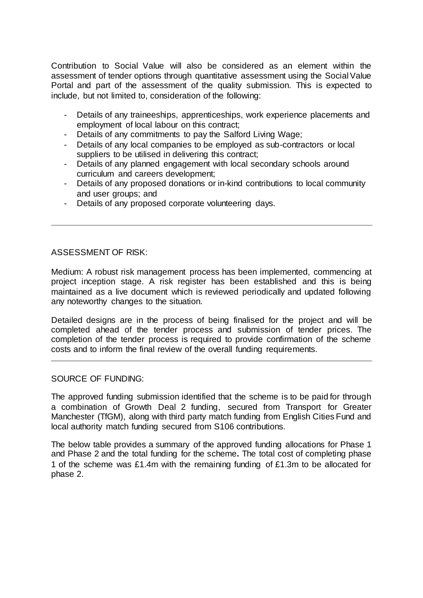Contribution to Social Value will also be considered as an element within the assessment of tender options through quantitative assessment using the Social Value Portal and part of the assessment of the quality submission. This is expected to include, but not limited to, consideration of the following:

- Details of any traineeships, apprenticeships, work experience placements and employment of local labour on this contract;
- Details of any commitments to pay the Salford Living Wage;
- Details of any local companies to be employed as sub-contractors or local suppliers to be utilised in delivering this contract;
- Details of any planned engagement with local secondary schools around curriculum and careers development;
- Details of any proposed donations or in-kind contributions to local community and user groups; and
- Details of any proposed corporate volunteering days.

# ASSESSMENT OF RISK:

Medium: A robust risk management process has been implemented, commencing at project inception stage. A risk register has been established and this is being maintained as a live document which is reviewed periodically and updated following any noteworthy changes to the situation.

Detailed designs are in the process of being finalised for the project and will be completed ahead of the tender process and submission of tender prices. The completion of the tender process is required to provide confirmation of the scheme costs and to inform the final review of the overall funding requirements.

### SOURCE OF FUNDING:

The approved funding submission identified that the scheme is to be paid for through a combination of Growth Deal 2 funding, secured from Transport for Greater Manchester (TfGM), along with third party match funding from English Cities Fund and local authority match funding secured from S106 contributions.

The below table provides a summary of the approved funding allocations for Phase 1 and Phase 2 and the total funding for the scheme**.** The total cost of completing phase 1 of the scheme was £1.4m with the remaining funding of £1.3m to be allocated for phase 2.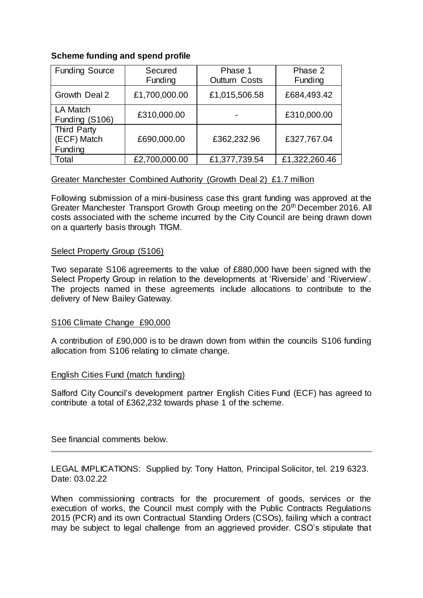# **Scheme funding and spend profile**

| <b>Funding Source</b>                        | Secured<br>Funding | Phase 1<br><b>Outturn Costs</b> | Phase 2<br>Funding |
|----------------------------------------------|--------------------|---------------------------------|--------------------|
| Growth Deal 2                                | £1,700,000.00      | £1,015,506.58                   | £684,493.42        |
| <b>LA Match</b><br>Funding (S106)            | £310,000.00        |                                 | £310,000.00        |
| <b>Third Party</b><br>(ECF) Match<br>Funding | £690,000.00        | £362,232.96                     | £327,767.04        |
| Total                                        | £2,700,000.00      | £1,377,739.54                   | £1,322,260.46      |

# Greater Manchester Combined Authority (Growth Deal 2) £1.7 million

Following submission of a mini-business case this grant funding was approved at the Greater Manchester Transport Growth Group meeting on the 20th December 2016. All costs associated with the scheme incurred by the City Council are being drawn down on a quarterly basis through TfGM.

#### Select Property Group (S106)

Two separate S106 agreements to the value of £880,000 have been signed with the Select Property Group in relation to the developments at 'Riverside' and 'Riverview'. The projects named in these agreements include allocations to contribute to the delivery of New Bailey Gateway.

### S106 Climate Change £90,000

A contribution of £90,000 is to be drawn down from within the councils S106 funding allocation from S106 relating to climate change.

#### English Cities Fund (match funding)

Salford City Council's development partner English Cities Fund (ECF) has agreed to contribute a total of £362,232 towards phase 1 of the scheme.

See financial comments below.

LEGAL IMPLICATIONS: Supplied by: Tony Hatton, Principal Solicitor, tel. 219 6323. Date: 03.02.22

When commissioning contracts for the procurement of goods, services or the execution of works, the Council must comply with the Public Contracts Regulations 2015 (PCR) and its own Contractual Standing Orders (CSOs), failing which a contract may be subject to legal challenge from an aggrieved provider. CSO's stipulate that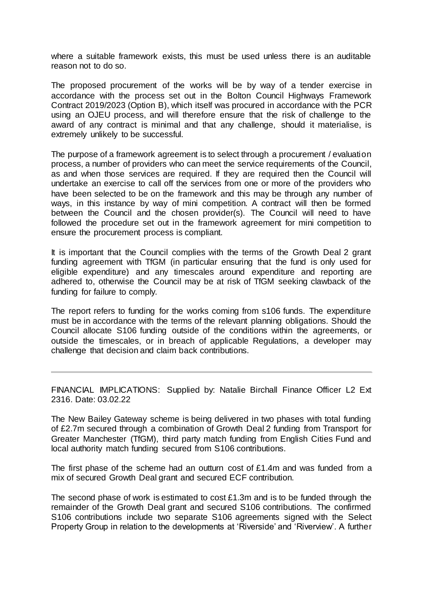where a suitable framework exists, this must be used unless there is an auditable reason not to do so.

The proposed procurement of the works will be by way of a tender exercise in accordance with the process set out in the Bolton Council Highways Framework Contract 2019/2023 (Option B), which itself was procured in accordance with the PCR using an OJEU process, and will therefore ensure that the risk of challenge to the award of any contract is minimal and that any challenge, should it materialise, is extremely unlikely to be successful.

The purpose of a framework agreement is to select through a procurement / evaluation process, a number of providers who can meet the service requirements of the Council, as and when those services are required. If they are required then the Council will undertake an exercise to call off the services from one or more of the providers who have been selected to be on the framework and this may be through any number of ways, in this instance by way of mini competition. A contract will then be formed between the Council and the chosen provider(s). The Council will need to have followed the procedure set out in the framework agreement for mini competition to ensure the procurement process is compliant.

It is important that the Council complies with the terms of the Growth Deal 2 grant funding agreement with TfGM (in particular ensuring that the fund is only used for eligible expenditure) and any timescales around expenditure and reporting are adhered to, otherwise the Council may be at risk of TfGM seeking clawback of the funding for failure to comply.

The report refers to funding for the works coming from s106 funds. The expenditure must be in accordance with the terms of the relevant planning obligations. Should the Council allocate S106 funding outside of the conditions within the agreements, or outside the timescales, or in breach of applicable Regulations, a developer may challenge that decision and claim back contributions.

FINANCIAL IMPLICATIONS: Supplied by: Natalie Birchall Finance Officer L2 Ext 2316. Date: 03.02.22

The New Bailey Gateway scheme is being delivered in two phases with total funding of £2.7m secured through a combination of Growth Deal 2 funding from Transport for Greater Manchester (TfGM), third party match funding from English Cities Fund and local authority match funding secured from S106 contributions.

The first phase of the scheme had an outturn cost of £1.4m and was funded from a mix of secured Growth Deal grant and secured ECF contribution.

The second phase of work is estimated to cost  $£1.3m$  and is to be funded through the remainder of the Growth Deal grant and secured S106 contributions. The confirmed S106 contributions include two separate S106 agreements signed with the Select Property Group in relation to the developments at 'Riverside' and 'Riverview'. A further